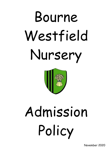# Bourne Westfield Nursery



# Admission Policy

November 2020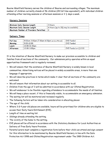Bourne Westfield Nursery serves the children of Bourne and surrounding villages. The maximum number of children currently stands at 56 children (28 full time equivalent), with individual children attending either morning sessions or afternoon sessions or  $2\frac{1}{2}$  days a week.

### **Nursery Sessions**

| Minimum Daily Session Length          | 3 Hours                                          |
|---------------------------------------|--------------------------------------------------|
| Maximum Daily Session Length          | 6 Hours (up to $10\frac{1}{2}$ may be available) |
| Maximum Number of Providers Permitted |                                                  |

### **Delivery Times**

| <b>Full Day</b> | 9:00am-3:00pm (7:30am-6:00pm can be offered) | EYE Funded           |
|-----------------|----------------------------------------------|----------------------|
| Morning         | 9:00-12:00                                   | EYE Funded           |
| Lunch           | 12:00-12:30pm                                |                      |
| Afternoon       | 12:00-3:00pm                                 | EYE Funded or £12.00 |

It is the intention of Bourne Westfield Nursery to make our provision accessible to children and families from all sections of the community. Our admissions policy operates within an equal opportunities framework and is regularly reviewed.

- We will ensure that the existence of Bourne Westfield Nursery is widely known in local communities. Advertising notices will be placed in widely accessible areas, in more than one language if appropriate.
- We will describe practices in terms which make it clear that all sections of the community are welcomed.
- We will ensure that information about our setting is accessible to all.
- Children from the age of 3 will be admitted in accordance with our Ofsted Registration.
- We will endeavour to be flexible regarding attendance to accommodate the needs of all families.
- We will keep a place vacant, if this is financially viable, to accommodate an emergency admission.
- The waiting list will be monitored and reviewed regularly.
- The following factors will be taken into consideration in allocating places:
- The age of the child.
- Where 3 & 4 year old places are available, hours will be prioritised for children who are eligible to access their Early Years Entitlement (EYE).
- Length of time on waiting list.
- Siblings already attending the setting.
- The vicinity of the home to the setting.
- EYE places will be offered in accordance with the Statutory Guidance for Local Authorities on Delivery of Free Early Years Provision.
- Parents/carers must complete a registration form before their child can attend and sign consent for this information to be maintained by Bourne Westfield Nursery in line with the Data Protection Act 1998 and Ofsted Registration requirement under The 1989 Children Act.